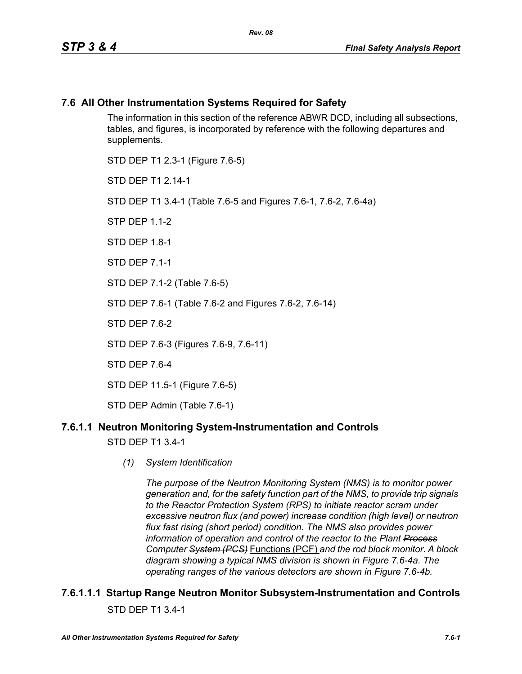### **7.6 All Other Instrumentation Systems Required for Safety**

The information in this section of the reference ABWR DCD, including all subsections, tables, and figures, is incorporated by reference with the following departures and supplements.

STD DEP T1 2.3-1 (Figure 7.6-5) STD DFP T1 2 14-1 STD DEP T1 3.4-1 (Table 7.6-5 and Figures 7.6-1, 7.6-2, 7.6-4a) STP DFP 1 1-2 STD DFP 18-1 STD DEP 7.1-1 STD DEP 7.1-2 (Table 7.6-5) STD DEP 7.6-1 (Table 7.6-2 and Figures 7.6-2, 7.6-14) STD DFP 76-2 STD DEP 7.6-3 (Figures 7.6-9, 7.6-11) STD DEP 7.6-4 STD DEP 11.5-1 (Figure 7.6-5)

STD DEP Admin (Table 7.6-1)

### **7.6.1.1 Neutron Monitoring System-Instrumentation and Controls**

STD DEP T1 3.4-1

*(1) System Identification*

*The purpose of the Neutron Monitoring System (NMS) is to monitor power generation and, for the safety function part of the NMS, to provide trip signals to the Reactor Protection System (RPS) to initiate reactor scram under excessive neutron flux (and power) increase condition (high level) or neutron flux fast rising (short period) condition. The NMS also provides power information of operation and control of the reactor to the Plant Process Computer System (PCS)* Functions (PCF) *and the rod block monitor. A block diagram showing a typical NMS division is shown in Figure 7.6-4a. The operating ranges of the various detectors are shown in Figure 7.6-4b.*

### **7.6.1.1.1 Startup Range Neutron Monitor Subsystem-Instrumentation and Controls** STD DEP T1 3.4-1

*All Other Instrumentation Systems Required for Safety 7.6-1*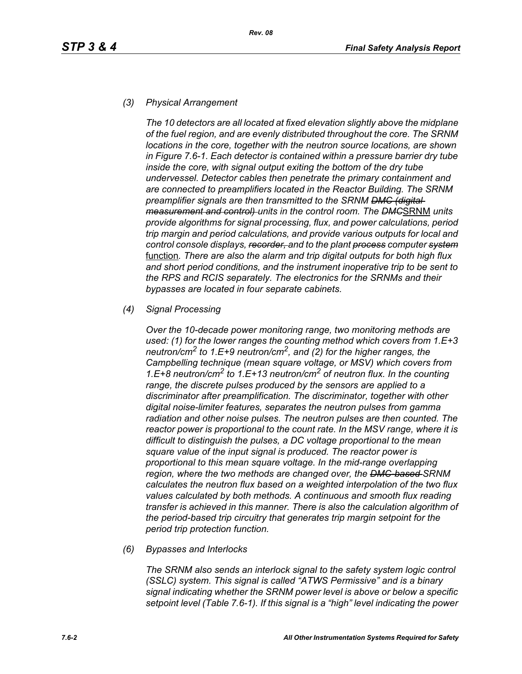#### *(3) Physical Arrangement*

*The 10 detectors are all located at fixed elevation slightly above the midplane of the fuel region, and are evenly distributed throughout the core. The SRNM locations in the core, together with the neutron source locations, are shown in Figure 7.6-1. Each detector is contained within a pressure barrier dry tube inside the core, with signal output exiting the bottom of the dry tube undervessel. Detector cables then penetrate the primary containment and are connected to preamplifiers located in the Reactor Building. The SRNM preamplifier signals are then transmitted to the SRNM DMC (digital measurement and control) units in the control room. The DMC*SRNM *units provide algorithms for signal processing, flux, and power calculations, period trip margin and period calculations, and provide various outputs for local and control console displays, recorder, and to the plant process computer system* function*. There are also the alarm and trip digital outputs for both high flux and short period conditions, and the instrument inoperative trip to be sent to the RPS and RCIS separately. The electronics for the SRNMs and their bypasses are located in four separate cabinets.*

#### *(4) Signal Processing*

*Over the 10-decade power monitoring range, two monitoring methods are used: (1) for the lower ranges the counting method which covers from 1.E+3 neutron/cm2 to 1.E+9 neutron/cm2, and (2) for the higher ranges, the Campbelling technique (mean square voltage, or MSV) which covers from 1.E+8 neutron/cm2 to 1.E+13 neutron/cm2 of neutron flux. In the counting range, the discrete pulses produced by the sensors are applied to a discriminator after preamplification. The discriminator, together with other digital noise-limiter features, separates the neutron pulses from gamma radiation and other noise pulses. The neutron pulses are then counted. The reactor power is proportional to the count rate. In the MSV range, where it is difficult to distinguish the pulses, a DC voltage proportional to the mean square value of the input signal is produced. The reactor power is proportional to this mean square voltage. In the mid-range overlapping region, where the two methods are changed over, the DMC-based SRNM calculates the neutron flux based on a weighted interpolation of the two flux values calculated by both methods. A continuous and smooth flux reading transfer is achieved in this manner. There is also the calculation algorithm of the period-based trip circuitry that generates trip margin setpoint for the period trip protection function.*

#### *(6) Bypasses and Interlocks*

*The SRNM also sends an interlock signal to the safety system logic control (SSLC) system. This signal is called "ATWS Permissive" and is a binary signal indicating whether the SRNM power level is above or below a specific setpoint level (Table 7.6-1). If this signal is a "high" level indicating the power*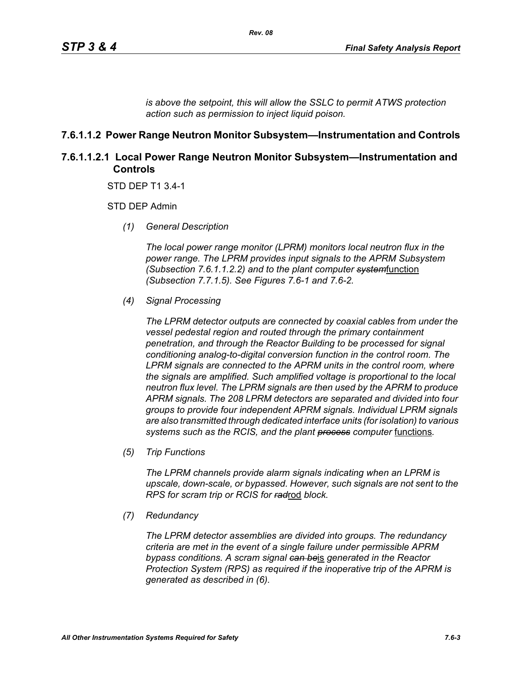*is above the setpoint, this will allow the SSLC to permit ATWS protection action such as permission to inject liquid poison.*

### **7.6.1.1.2 Power Range Neutron Monitor Subsystem—Instrumentation and Controls**

### **7.6.1.1.2.1 Local Power Range Neutron Monitor Subsystem—Instrumentation and Controls**

STD DEP T1 3.4-1

STD DEP Admin

*(1) General Description*

*The local power range monitor (LPRM) monitors local neutron flux in the power range. The LPRM provides input signals to the APRM Subsystem (Subsection 7.6.1.1.2.2) and to the plant computer system*function *(Subsection 7.7.1.5). See Figures 7.6-1 and 7.6-2.*

*(4) Signal Processing*

*The LPRM detector outputs are connected by coaxial cables from under the vessel pedestal region and routed through the primary containment penetration, and through the Reactor Building to be processed for signal conditioning analog-to-digital conversion function in the control room. The LPRM signals are connected to the APRM units in the control room, where the signals are amplified. Such amplified voltage is proportional to the local neutron flux level. The LPRM signals are then used by the APRM to produce APRM signals. The 208 LPRM detectors are separated and divided into four groups to provide four independent APRM signals. Individual LPRM signals are also transmitted through dedicated interface units (for isolation) to various*  systems such as the RCIS, and the plant **process** computer functions.

*(5) Trip Functions*

*The LPRM channels provide alarm signals indicating when an LPRM is upscale, down-scale, or bypassed. However, such signals are not sent to the RPS for scram trip or RCIS for rad*rod *block.*

*(7) Redundancy*

*The LPRM detector assemblies are divided into groups. The redundancy criteria are met in the event of a single failure under permissible APRM bypass conditions. A scram signal can be*is *generated in the Reactor Protection System (RPS) as required if the inoperative trip of the APRM is generated as described in (6).*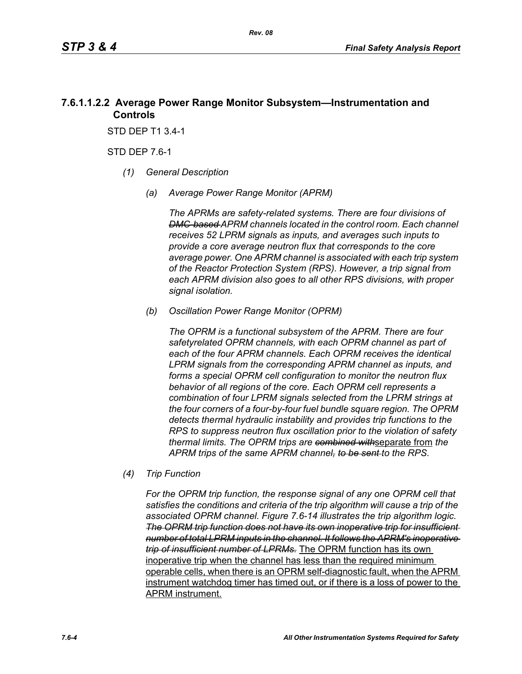### **7.6.1.1.2.2 Average Power Range Monitor Subsystem—Instrumentation and Controls**

STD DEP T1 3.4-1

STD DEP 7.6-1

- *(1) General Description*
	- *(a) Average Power Range Monitor (APRM)*

*The APRMs are safety-related systems. There are four divisions of DMC-based APRM channels located in the control room. Each channel receives 52 LPRM signals as inputs, and averages such inputs to provide a core average neutron flux that corresponds to the core average power. One APRM channel is associated with each trip system of the Reactor Protection System (RPS). However, a trip signal from each APRM division also goes to all other RPS divisions, with proper signal isolation.*

*(b) Oscillation Power Range Monitor (OPRM)*

*The OPRM is a functional subsystem of the APRM. There are four safetyrelated OPRM channels, with each OPRM channel as part of each of the four APRM channels. Each OPRM receives the identical LPRM signals from the corresponding APRM channel as inputs, and forms a special OPRM cell configuration to monitor the neutron flux behavior of all regions of the core. Each OPRM cell represents a combination of four LPRM signals selected from the LPRM strings at the four corners of a four-by-four fuel bundle square region. The OPRM detects thermal hydraulic instability and provides trip functions to the RPS to suppress neutron flux oscillation prior to the violation of safety thermal limits. The OPRM trips are combined with*separate from *the APRM trips of the same APRM channel, to be sent to the RPS.*

*(4) Trip Function*

*For the OPRM trip function, the response signal of any one OPRM cell that satisfies the conditions and criteria of the trip algorithm will cause a trip of the associated OPRM channel. Figure 7.6-14 illustrates the trip algorithm logic. The OPRM trip function does not have its own inoperative trip for insufficient number of total LPRM inputs in the channel. It follows the APRM's inoperative trip of insufficient number of LPRMs.* The OPRM function has its own inoperative trip when the channel has less than the required minimum operable cells, when there is an OPRM self-diagnostic fault, when the APRM instrument watchdog timer has timed out, or if there is a loss of power to the APRM instrument.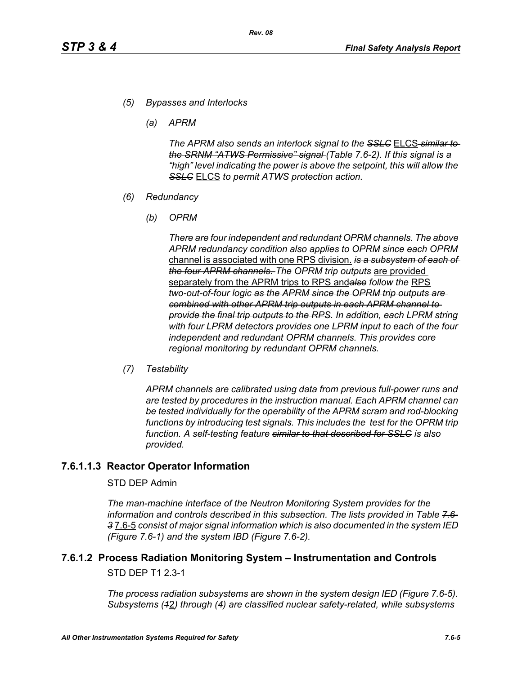- *(5) Bypasses and Interlocks*
	- *(a) APRM*

*The APRM also sends an interlock signal to the SSLC* ELCS *similar to the SRNM "ATWS Permissive" signal (Table 7.6-2). If this signal is a "high" level indicating the power is above the setpoint, this will allow the SSLC* ELCS *to permit ATWS protection action.*

- *(6) Redundancy*
	- *(b) OPRM*

*There are four independent and redundant OPRM channels. The above APRM redundancy condition also applies to OPRM since each OPRM*  channel is associated with one RPS division. *is a subsystem of each of the four APRM channels. The OPRM trip outputs* are provided separately from the APRM trips to RPS and*also follow the* RPS *two-out-of-four logic as the APRM since the OPRM trip outputs are combined with other APRM trip outputs in each APRM channel to provide the final trip outputs to the RPS. In addition, each LPRM string with four LPRM detectors provides one LPRM input to each of the four independent and redundant OPRM channels. This provides core regional monitoring by redundant OPRM channels.*

*(7) Testability*

*APRM channels are calibrated using data from previous full-power runs and are tested by procedures in the instruction manual. Each APRM channel can be tested individually for the operability of the APRM scram and rod-blocking*  functions by introducing test signals. This includes the test for the OPRM trip *function. A self-testing feature similar to that described for SSLC is also provided.*

### **7.6.1.1.3 Reactor Operator Information**

#### STD DEP Admin

*The man-machine interface of the Neutron Monitoring System provides for the information and controls described in this subsection. The lists provided in Table 7.6- 3* 7.6-5 *consist of major signal information which is also documented in the system IED (Figure 7.6-1) and the system IBD (Figure 7.6-2).*

# **7.6.1.2 Process Radiation Monitoring System – Instrumentation and Controls**

STD DEP T1 2.3-1

*The process radiation subsystems are shown in the system design IED (Figure 7.6-5). Subsystems (1*2*) through (4) are classified nuclear safety-related, while subsystems*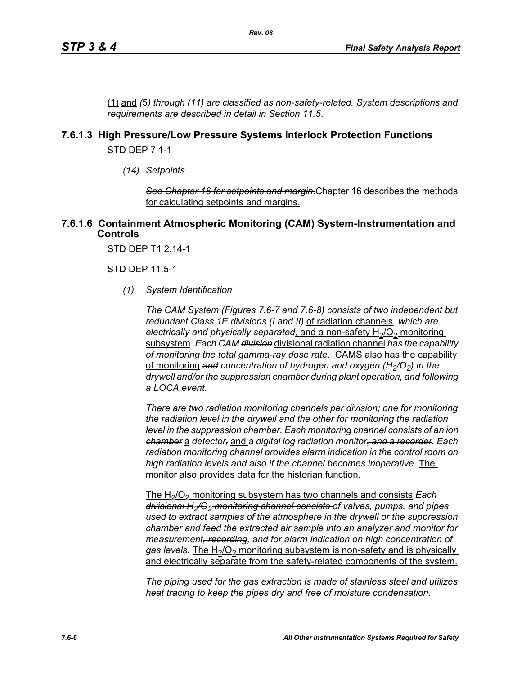(1) and *(*5*) through (11) are classified as non-safety-related. System descriptions and requirements are described in detail in Section 11.5*.

### **7.6.1.3 High Pressure/Low Pressure Systems Interlock Protection Functions**

STD DEP 7.1-1

*(14) Setpoints*

*See Chapter 16 for setpoints and margin.*Chapter 16 describes the methods for calculating setpoints and margins.

#### **7.6.1.6 Containment Atmospheric Monitoring (CAM) System-Instrumentation and Controls**

STD DEP T1 2.14-1

STD DEP 11.5-1

*(1) System Identification*

*The CAM System (Figures 7.6-7 and 7.6-8) consists of two independent but redundant Class 1E divisions (I and II)* of radiation channels*, which are electrically and physically separated, and a non-safety H<sub>2</sub>/O<sub>2</sub> monitoring* subsystem*. Each CAM division* divisional radiation channel *has the capability of monitoring the total gamma-ray dose rate*. CAMS also has the capability of monitoring and concentration of hydrogen and oxygen (H<sub>2</sub>/O<sub>2</sub>) in the *drywell and/or the suppression chamber during plant operation, and following a LOCA event.* 

*There are two radiation monitoring channels per division; one for monitoring the radiation level in the drywell and the other for monitoring the radiation level in the suppression chamber. Each monitoring channel consists of an ion chamber* a *detector,* and *a digital log radiation monitor, and a recorder. Each radiation monitoring channel provides alarm indication in the control room on high radiation levels and also if the channel becomes inoperative.* The monitor also provides data for the historian function.

The H<sub>2</sub>/O<sub>2</sub> monitoring subsystem has two channels and consists **Each** *divisional H2/O2 monitoring channel consists of valves, pumps, and pipes used to extract samples of the atmosphere in the drywell or the suppression chamber and feed the extracted air sample into an analyzer and monitor for measurement, recording, and for alarm indication on high concentration of*  gas levels. The H<sub>2</sub>/O<sub>2</sub> monitoring subsystem is non-safety and is physically and electrically separate from the safety-related components of the system.

*The piping used for the gas extraction is made of stainless steel and utilizes heat tracing to keep the pipes dry and free of moisture condensation.*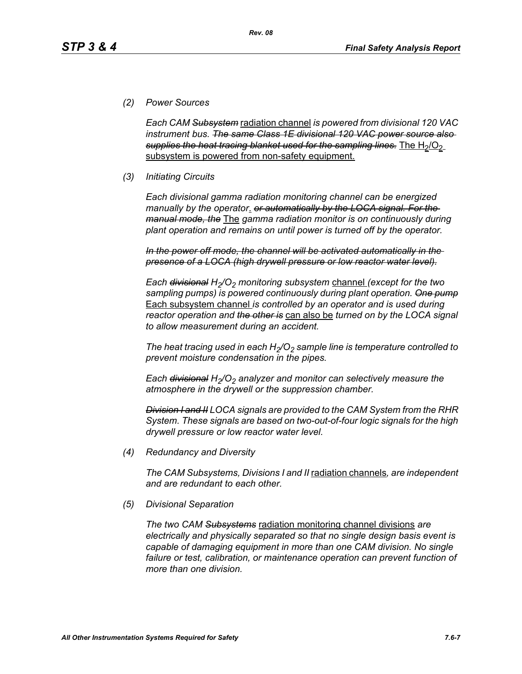### *(2) Power Sources*

*Each CAM Subsystem* radiation channel *is powered from divisional 120 VAC instrument bus. The same Class 1E divisional 120 VAC power source also*  supplies the heat tracing blanket used for the sampling lines. The H<sub>2</sub>/O<sub>2</sub> subsystem is powered from non-safety equipment.

*Rev. 08*

### *(3) Initiating Circuits*

*Each divisional gamma radiation monitoring channel can be energized manually by the operator*. *or automatically by the LOCA signal. For the manual mode, the* The *gamma radiation monitor is on continuously during plant operation and remains on until power is turned off by the operator.*

*In the power off mode, the channel will be activated automatically in the presence of a LOCA (high drywell pressure or low reactor water level).*

*Each <del>divisional</del> H<sub>2</sub>/O<sub>2</sub> monitoring subsystem channel (except for the two sampling pumps) is powered continuously during plant operation. One pump* Each subsystem channel *is controlled by an operator and is used during reactor operation and the other is* can also be *turned on by the LOCA signal to allow measurement during an accident.*

The heat tracing used in each  $H_2/O_2$  sample line is temperature controlled to *prevent moisture condensation in the pipes.* 

*Each <del>divisional</del> H<sub>2</sub>/O<sub>2</sub> analyzer and monitor can selectively measure the atmosphere in the drywell or the suppression chamber.*

*Division I and II LOCA signals are provided to the CAM System from the RHR System. These signals are based on two-out-of-four logic signals for the high drywell pressure or low reactor water level.*

*(4) Redundancy and Diversity*

*The CAM Subsystems, Divisions I and II* radiation channels*, are independent and are redundant to each other.*

*(5) Divisional Separation*

*The two CAM Subsystems* radiation monitoring channel divisions *are electrically and physically separated so that no single design basis event is capable of damaging equipment in more than one CAM division. No single*  failure or test, calibration, or maintenance operation can prevent function of *more than one division.*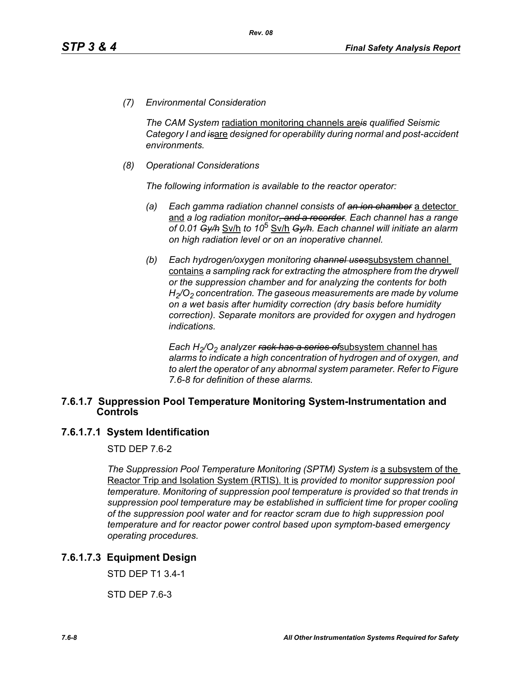*(7) Environmental Consideration*

*The CAM System* radiation monitoring channels are*is qualified Seismic Category I and is*are *designed for operability during normal and post-accident environments.*

*(8) Operational Considerations*

*The following information is available to the reactor operator:*

- *(a) Each gamma radiation channel consists of an ion chamber* a detector and *a log radiation monitor, and a recorder. Each channel has a range of 0.01 Gy/h* Sv/h *to 10*5 Sv/h *Gy/h. Each channel will initiate an alarm on high radiation level or on an inoperative channel.*
- *(b) Each hydrogen/oxygen monitoring channel uses*subsystem channel contains *a sampling rack for extracting the atmosphere from the drywell or the suppression chamber and for analyzing the contents for both H2/O2 concentration. The gaseous measurements are made by volume on a wet basis after humidity correction (dry basis before humidity correction). Separate monitors are provided for oxygen and hydrogen indications.*

*Each H<sub>2</sub>/O<sub>2</sub> analyzer <del>rack has a series of</del>subsystem channel has alarms to indicate a high concentration of hydrogen and of oxygen, and to alert the operator of any abnormal system parameter. Refer to Figure 7.6-8 for definition of these alarms.*

#### **7.6.1.7 Suppression Pool Temperature Monitoring System-Instrumentation and Controls**

#### **7.6.1.7.1 System Identification**

STD DEP 7.6-2

*The Suppression Pool Temperature Monitoring (SPTM) System is a subsystem of the* Reactor Trip and Isolation System (RTIS). It is *provided to monitor suppression pool temperature. Monitoring of suppression pool temperature is provided so that trends in suppression pool temperature may be established in sufficient time for proper cooling of the suppression pool water and for reactor scram due to high suppression pool temperature and for reactor power control based upon symptom-based emergency operating procedures.*

### **7.6.1.7.3 Equipment Design**

STD DEP T1 3.4-1

STD DEP 7.6-3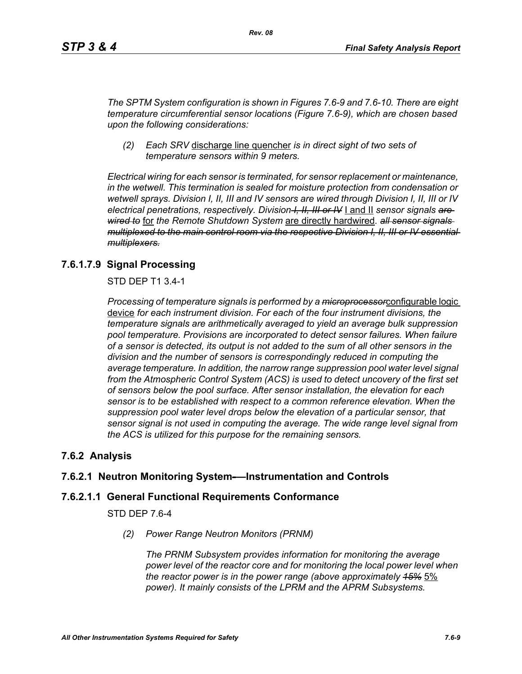*The SPTM System configuration is shown in Figures 7.6-9 and 7.6-10. There are eight temperature circumferential sensor locations (Figure 7.6-9), which are chosen based upon the following considerations:*

*(2) Each SRV* discharge line quencher *is in direct sight of two sets of temperature sensors within 9 meters.*

*Electrical wiring for each sensor is terminated, for sensor replacement or maintenance, in the wetwell. This termination is sealed for moisture protection from condensation or wetwell sprays. Division I, II, III and IV sensors are wired through Division I, II, III or IV electrical penetrations, respectively. Division I, II, III or IV* I and II *sensor signals are wired to* for *the Remote Shutdown System* are directly hardwired*. all sensor signals multiplexed to the main control room via the respective Division I, II, III or IV essential multiplexers.*

### **7.6.1.7.9 Signal Processing**

STD DEP T1 3.4-1

*Processing of temperature signals is performed by a microprocessor*configurable logic device *for each instrument division. For each of the four instrument divisions, the temperature signals are arithmetically averaged to yield an average bulk suppression pool temperature. Provisions are incorporated to detect sensor failures. When failure of a sensor is detected, its output is not added to the sum of all other sensors in the division and the number of sensors is correspondingly reduced in computing the average temperature. In addition, the narrow range suppression pool water level signal from the Atmospheric Control System (ACS) is used to detect uncovery of the first set of sensors below the pool surface. After sensor installation, the elevation for each sensor is to be established with respect to a common reference elevation. When the suppression pool water level drops below the elevation of a particular sensor, that sensor signal is not used in computing the average. The wide range level signal from the ACS is utilized for this purpose for the remaining sensors.*

### **7.6.2 Analysis**

### **7.6.2.1 Neutron Monitoring System-—Instrumentation and Controls**

#### **7.6.2.1.1 General Functional Requirements Conformance**

STD DEP 7.6-4

*(2) Power Range Neutron Monitors (PRNM)*

*The PRNM Subsystem provides information for monitoring the average power level of the reactor core and for monitoring the local power level when the reactor power is in the power range (above approximately 15%* 5% *power). It mainly consists of the LPRM and the APRM Subsystems.*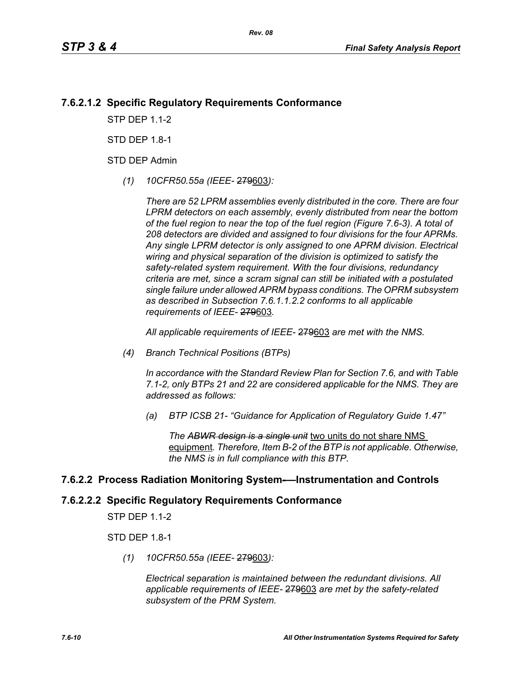### **7.6.2.1.2 Specific Regulatory Requirements Conformance**

*Rev. 08*

**STP DFP 11-2** 

STD DFP 18-1

STD DEP Admin

*(1) 10CFR50.55a (IEEE-* 279603*):*

*There are 52 LPRM assemblies evenly distributed in the core. There are four LPRM detectors on each assembly, evenly distributed from near the bottom of the fuel region to near the top of the fuel region (Figure 7.6-3). A total of 208 detectors are divided and assigned to four divisions for the four APRMs. Any single LPRM detector is only assigned to one APRM division. Electrical wiring and physical separation of the division is optimized to satisfy the safety-related system requirement. With the four divisions, redundancy criteria are met, since a scram signal can still be initiated with a postulated single failure under allowed APRM bypass conditions. The OPRM subsystem as described in Subsection 7.6.1.1.2.2 conforms to all applicable requirements of IEEE-* 279603*.*

*All applicable requirements of IEEE-* 279603 *are met with the NMS.*

*(4) Branch Technical Positions (BTPs)* 

*In accordance with the Standard Review Plan for Section 7.6, and with Table 7.1-2, only BTPs 21 and 22 are considered applicable for the NMS. They are addressed as follows:* 

*(a) BTP ICSB 21- "Guidance for Application of Regulatory Guide 1.47"* 

*The ABWR design is a single unit* two units do not share NMS equipment*. Therefore, Item B-2 of the BTP is not applicable. Otherwise, the NMS is in full compliance with this BTP.* 

#### **7.6.2.2 Process Radiation Monitoring System-—Instrumentation and Controls**

## **7.6.2.2.2 Specific Regulatory Requirements Conformance**

STP DEP 1.1-2

STD DEP 1.8-1

*(1) 10CFR50.55a (IEEE-* 279603*):*

*Electrical separation is maintained between the redundant divisions. All applicable requirements of IEEE-* 279603 *are met by the safety-related subsystem of the PRM System.*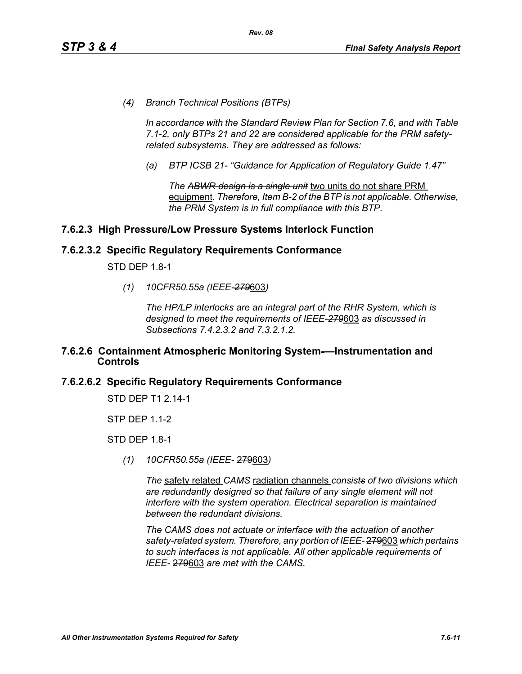*(4) Branch Technical Positions (BTPs)* 

*In accordance with the Standard Review Plan for Section 7.6, and with Table 7.1-2, only BTPs 21 and 22 are considered applicable for the PRM safetyrelated subsystems. They are addressed as follows:* 

*(a) BTP ICSB 21- "Guidance for Application of Regulatory Guide 1.47"*

*The ABWR design is a single unit* two units do not share PRM equipment*. Therefore, Item B-2 of the BTP is not applicable. Otherwise, the PRM System is in full compliance with this BTP.* 

### **7.6.2.3 High Pressure/Low Pressure Systems Interlock Function**

#### **7.6.2.3.2 Specific Regulatory Requirements Conformance**

STD DEP 1.8-1

*(1) 10CFR50.55a (IEEE-279*603*)*

*The HP/LP interlocks are an integral part of the RHR System, which is designed to meet the requirements of IEEE-279*603 *as discussed in Subsections 7.4.2.3.2 and 7.3.2.1.2.*

#### **7.6.2.6 Containment Atmospheric Monitoring System-—Instrumentation and Controls**

#### **7.6.2.6.2 Specific Regulatory Requirements Conformance**

STD DEP T1 2.14-1

STP DEP 1.1-2

STD DEP 1.8-1

*(1) 10CFR50.55a (IEEE-* 279603*)*

*The* safety related *CAMS* radiation channels *consists of two divisions which are redundantly designed so that failure of any single element will not interfere with the system operation. Electrical separation is maintained between the redundant divisions.*

*The CAMS does not actuate or interface with the actuation of another safety-related system. Therefore, any portion of IEEE-* 279603 *which pertains to such interfaces is not applicable. All other applicable requirements of IEEE-* 279603 *are met with the CAMS.*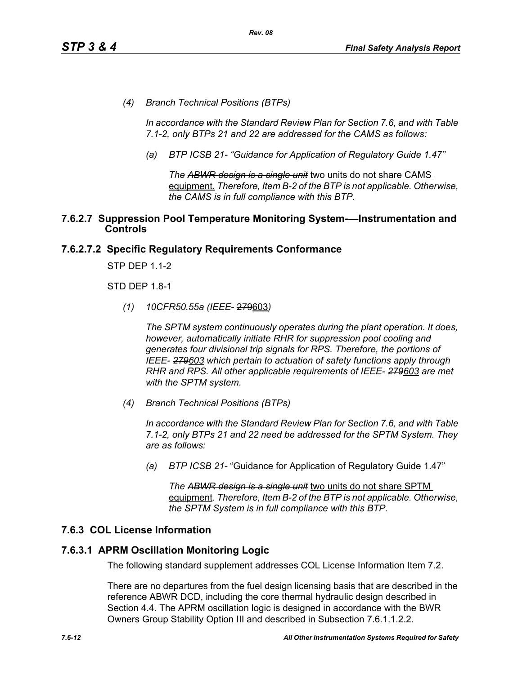*(4) Branch Technical Positions (BTPs)* 

*In accordance with the Standard Review Plan for Section 7.6, and with Table 7.1-2, only BTPs 21 and 22 are addressed for the CAMS as follows:* 

*(a) BTP ICSB 21- "Guidance for Application of Regulatory Guide 1.47"*

*The ABWR design is a single unit* two units do not share CAMS equipment. *Therefore, Item B-2 of the BTP is not applicable. Otherwise, the CAMS is in full compliance with this BTP.* 

#### **7.6.2.7 Suppression Pool Temperature Monitoring System-—Instrumentation and Controls**

### **7.6.2.7.2 Specific Regulatory Requirements Conformance**

STP DEP 1.1-2

STD DEP 1.8-1

*(1) 10CFR50.55a (IEEE*- 279603*)*

*The SPTM system continuously operates during the plant operation. It does, however, automatically initiate RHR for suppression pool cooling and generates four divisional trip signals for RPS. Therefore, the portions of IEEE- 279603 which pertain to actuation of safety functions apply through RHR and RPS. All other applicable requirements of IEEE- 279603 are met with the SPTM system.*

*(4) Branch Technical Positions (BTPs)*

*In accordance with the Standard Review Plan for Section 7.6, and with Table 7.1-2, only BTPs 21 and 22 need be addressed for the SPTM System. They are as follows:*

*(a) BTP ICSB 21-* "Guidance for Application of Regulatory Guide 1.47"

*The ABWR design is a single unit* two units do not share SPTM equipment*. Therefore, Item B-2 of the BTP is not applicable. Otherwise, the SPTM System is in full compliance with this BTP.*

#### **7.6.3 COL License Information**

#### **7.6.3.1 APRM Oscillation Monitoring Logic**

The following standard supplement addresses COL License Information Item 7.2.

There are no departures from the fuel design licensing basis that are described in the reference ABWR DCD, including the core thermal hydraulic design described in Section 4.4. The APRM oscillation logic is designed in accordance with the BWR Owners Group Stability Option III and described in Subsection 7.6.1.1.2.2.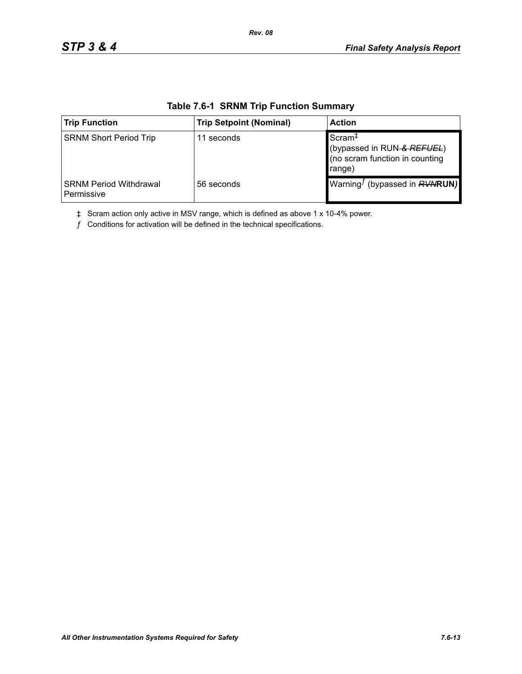| <b>Trip Function</b>                        | <b>Trip Setpoint (Nominal)</b> | <b>Action</b>                                                                                |  |
|---------------------------------------------|--------------------------------|----------------------------------------------------------------------------------------------|--|
| <b>SRNM Short Period Trip</b>               | 11 seconds                     | Scram <sup>+</sup><br>(bypassed in RUN & REFUEL)<br>(no scram function in counting<br>range) |  |
| <b>SRNM Period Withdrawal</b><br>Permissive | 56 seconds                     | Warning <sup><i>I</i></sup> (bypassed in $RVMRUN$ )                                          |  |

#### **Table 7.6-1 SRNM Trip Function Summary**

*Rev. 08*

‡ Scram action only active in MSV range, which is defined as above 1 x 10-4% power.

 $f$  Conditions for activation will be defined in the technical specifications.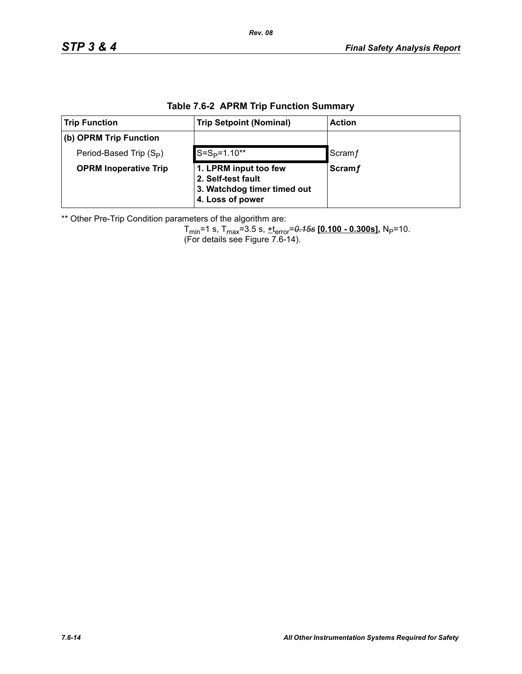| <b>Trip Function</b>                | <b>Trip Setpoint (Nominal)</b>                                                                 | <b>Action</b> |  |  |  |
|-------------------------------------|------------------------------------------------------------------------------------------------|---------------|--|--|--|
| (b) OPRM Trip Function              |                                                                                                |               |  |  |  |
| Period-Based Trip (S <sub>P</sub> ) | $S = SP=1.10**$                                                                                | Scram f       |  |  |  |
| <b>OPRM Inoperative Trip</b>        | 1. LPRM input too few<br>2. Self-test fault<br>3. Watchdog timer timed out<br>4. Loss of power | <b>Scramf</b> |  |  |  |

### **Table 7.6-2 APRM Trip Function Summary**

\*\* Other Pre-Trip Condition parameters of the algorithm are:

Tmin=1 s, Tmax=3.5 s, +terror=*0.15s* **[0.100 - 0.300s],** NP=10. (For details see Figure 7.6-14).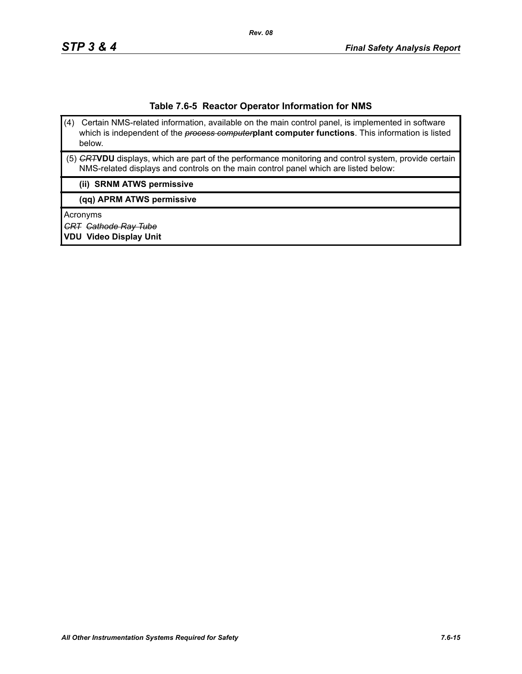#### **Table 7.6-5 Reactor Operator Information for NMS**

- (4) Certain NMS-related information, available on the main control panel, is implemented in software which is independent of the *process computer***plant computer functions**. This information is listed below.
- (5) *CRT***VDU** displays, which are part of the performance monitoring and control system, provide certain NMS-related displays and controls on the main control panel which are listed below:

#### **(ii) SRNM ATWS permissive**

**(qq) APRM ATWS permissive**

Acronyms

*CRT Cathode Ray Tube*

**VDU Video Display Unit**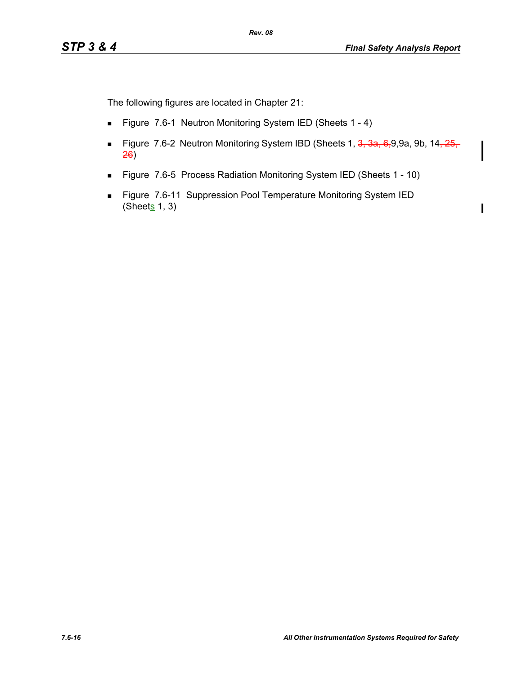The following figures are located in Chapter 21:

- Figure 7.6-1 Neutron Monitoring System IED (Sheets 1 4)
- Figure 7.6-2 Neutron Monitoring System IBD (Sheets 1, 3, 3a, 6,9,9a, 9b, 14, 25, 26)
- Figure 7.6-5 Process Radiation Monitoring System IED (Sheets 1 10)
- **Figure 7.6-11 Suppression Pool Temperature Monitoring System IED** (Sheets  $1, 3$ )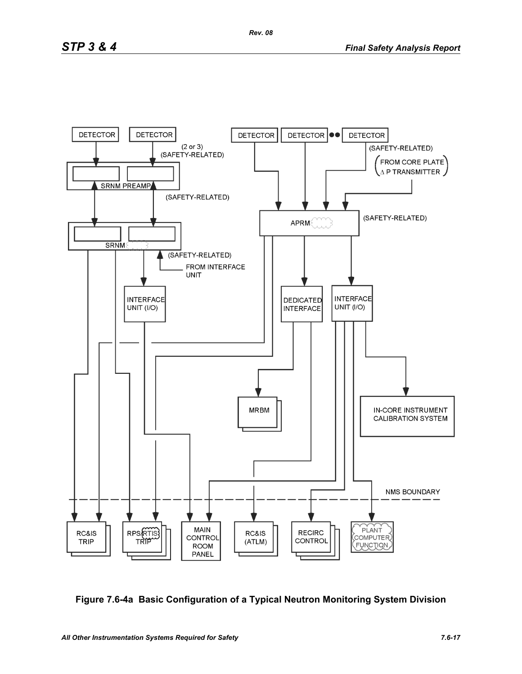

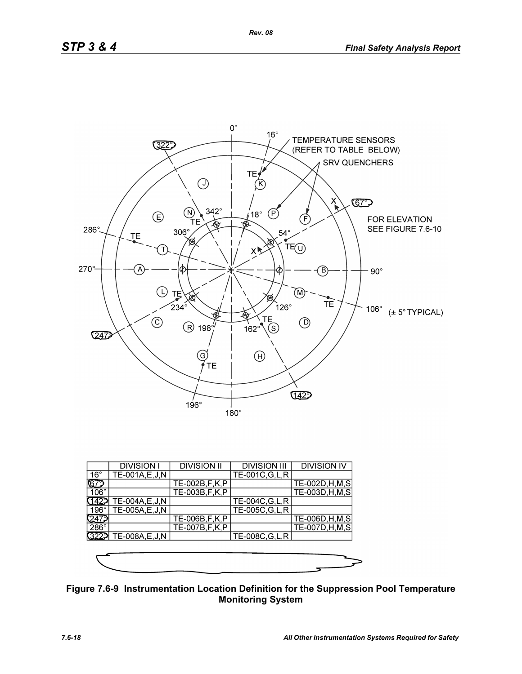

|              | <b>DIVISION I</b> | <b>DIVISION II</b> | <b>DIVISION III</b> | <b>DIVISION IV</b> |
|--------------|-------------------|--------------------|---------------------|--------------------|
| $16^{\circ}$ | TE-001A, E, J, N  |                    | TE-001C, G, L, R    |                    |
| ୲ଢ଼          |                   | TE-002B, F, K, P   |                     | TE-002D, H, M, S   |
| $106^\circ$  |                   | TE-003B, F, K, P   |                     | TE-003D, H, M, S   |
|              | TE-004A, E, J, N  |                    | TE-004C, G, L, R    |                    |
| 196°1        | TE-005A,E,J,N     |                    | TE-005C, G, L, R    |                    |
|              |                   | TE-006B, F, K, P   |                     | TE-006D, H, M, S   |
| $286^\circ$  |                   | TE-007B, F, K, P   |                     | TE-007D, H, M, S   |
| 3229         | TE-008A, E, J, N  |                    | TE-008C, G, L, R    |                    |
|              |                   |                    |                     |                    |
|              |                   |                    |                     |                    |
|              |                   |                    |                     |                    |

**Figure 7.6-9 Instrumentation Location Definition for the Suppression Pool Temperature Monitoring System**